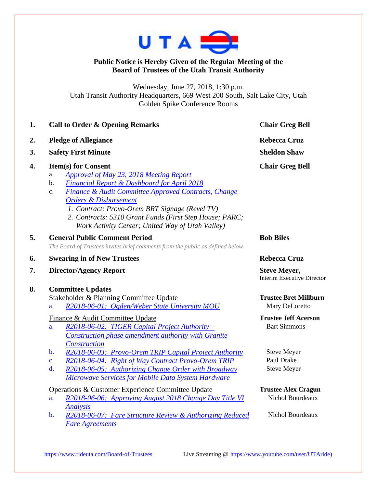

## **Public Notice is Hereby Given of the Regular Meeting of the Board of Trustees of the Utah Transit Authority**

Wednesday, June 27, 2018, 1:30 p.m. Utah Transit Authority Headquarters, 669 West 200 South, Salt Lake City, Utah Golden Spike Conference Rooms

|    | <b>Call to Order &amp; Opening Remarks</b>                                                                                                                                                                                                                                                                                                                                                                            | <b>Chair Greg Bell</b>                                   |
|----|-----------------------------------------------------------------------------------------------------------------------------------------------------------------------------------------------------------------------------------------------------------------------------------------------------------------------------------------------------------------------------------------------------------------------|----------------------------------------------------------|
| 2. | <b>Pledge of Allegiance</b>                                                                                                                                                                                                                                                                                                                                                                                           | <b>Rebecca Cruz</b>                                      |
| 3. | <b>Safety First Minute</b>                                                                                                                                                                                                                                                                                                                                                                                            | <b>Sheldon Shaw</b>                                      |
| 4. | <b>Item(s) for Consent</b><br><b>Approval of May 23, 2018 Meeting Report</b><br>a.<br><b>Financial Report &amp; Dashboard for April 2018</b><br>b.<br>Finance & Audit Committee Approved Contracts, Change<br>c.<br><b>Orders &amp; Disbursement</b><br>1. Contract: Provo-Orem BRT Signage (Revel TV)<br>2. Contracts: 5310 Grant Funds (First Step House; PARC;<br>Work Activity Center; United Way of Utah Valley) | <b>Chair Greg Bell</b>                                   |
| 5. | <b>General Public Comment Period</b><br>The Board of Trustees invites brief comments from the public as defined below.                                                                                                                                                                                                                                                                                                | <b>Bob Biles</b>                                         |
|    | <b>Swearing in of New Trustees</b>                                                                                                                                                                                                                                                                                                                                                                                    | <b>Rebecca Cruz</b>                                      |
| 6. |                                                                                                                                                                                                                                                                                                                                                                                                                       |                                                          |
| 7. | <b>Director/Agency Report</b>                                                                                                                                                                                                                                                                                                                                                                                         | <b>Steve Meyer,</b><br><b>Interim Executive Director</b> |
| 8. | <b>Committee Updates</b><br>Stakeholder & Planning Committee Update<br>a.                                                                                                                                                                                                                                                                                                                                             | <b>Trustee Bret Millburn</b><br>Mary DeLoretto           |
|    | R2018-06-01: Ogden/Weber State University MOU<br>Finance & Audit Committee Update<br>$R2018-06-02$ : TIGER Capital Project Authority –<br>a.<br><b>Construction phase amendment authority with Granite</b>                                                                                                                                                                                                            | <b>Trustee Jeff Acerson</b><br><b>Bart Simmons</b>       |
|    | Construction<br>$b$ .<br>R2018-06-03: Provo-Orem TRIP Capital Project Authority<br>R2018-06-04: Right of Way Contract Provo-Orem TRIP<br>$\mathbf{c}$ .<br>d.<br>R2018-06-05: Authorizing Change Order with Broadway<br><b>Microwave Services for Mobile Data System Hardware</b>                                                                                                                                     | <b>Steve Meyer</b><br>Paul Drake<br><b>Steve Meyer</b>   |